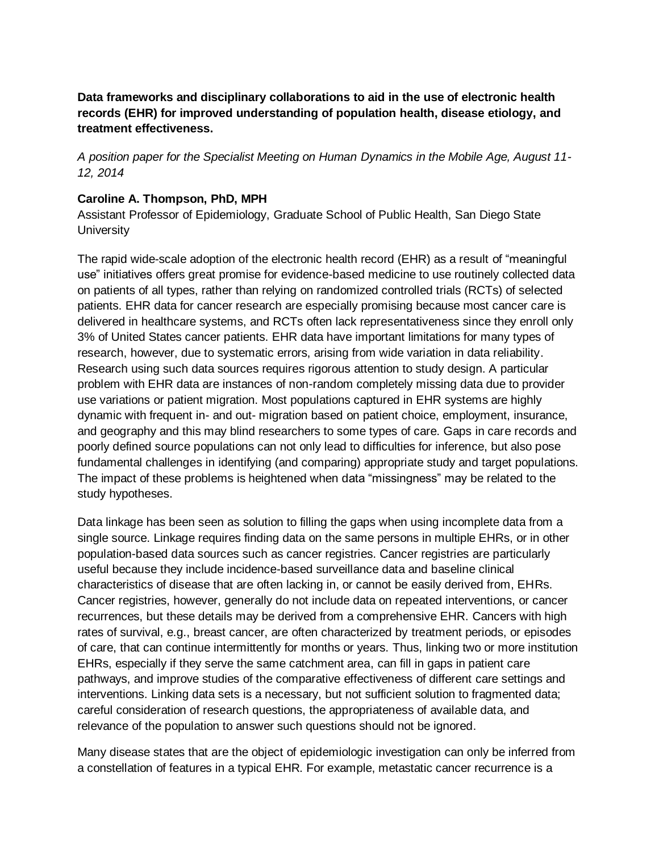## **Data frameworks and disciplinary collaborations to aid in the use of electronic health records (EHR) for improved understanding of population health, disease etiology, and treatment effectiveness.**

*A position paper for the Specialist Meeting on Human Dynamics in the Mobile Age, August 11- 12, 2014*

## **Caroline A. Thompson, PhD, MPH**

Assistant Professor of Epidemiology, Graduate School of Public Health, San Diego State **University** 

The rapid wide-scale adoption of the electronic health record (EHR) as a result of "meaningful use" initiatives offers great promise for evidence-based medicine to use routinely collected data on patients of all types, rather than relying on randomized controlled trials (RCTs) of selected patients. EHR data for cancer research are especially promising because most cancer care is delivered in healthcare systems, and RCTs often lack representativeness since they enroll only 3% of United States cancer patients. EHR data have important limitations for many types of research, however, due to systematic errors, arising from wide variation in data reliability. Research using such data sources requires rigorous attention to study design. A particular problem with EHR data are instances of non-random completely missing data due to provider use variations or patient migration. Most populations captured in EHR systems are highly dynamic with frequent in- and out- migration based on patient choice, employment, insurance, and geography and this may blind researchers to some types of care. Gaps in care records and poorly defined source populations can not only lead to difficulties for inference, but also pose fundamental challenges in identifying (and comparing) appropriate study and target populations. The impact of these problems is heightened when data "missingness" may be related to the study hypotheses.

Data linkage has been seen as solution to filling the gaps when using incomplete data from a single source. Linkage requires finding data on the same persons in multiple EHRs, or in other population-based data sources such as cancer registries. Cancer registries are particularly useful because they include incidence-based surveillance data and baseline clinical characteristics of disease that are often lacking in, or cannot be easily derived from, EHRs. Cancer registries, however, generally do not include data on repeated interventions, or cancer recurrences, but these details may be derived from a comprehensive EHR. Cancers with high rates of survival, e.g., breast cancer, are often characterized by treatment periods, or episodes of care, that can continue intermittently for months or years. Thus, linking two or more institution EHRs, especially if they serve the same catchment area, can fill in gaps in patient care pathways, and improve studies of the comparative effectiveness of different care settings and interventions. Linking data sets is a necessary, but not sufficient solution to fragmented data; careful consideration of research questions, the appropriateness of available data, and relevance of the population to answer such questions should not be ignored.

Many disease states that are the object of epidemiologic investigation can only be inferred from a constellation of features in a typical EHR. For example, metastatic cancer recurrence is a